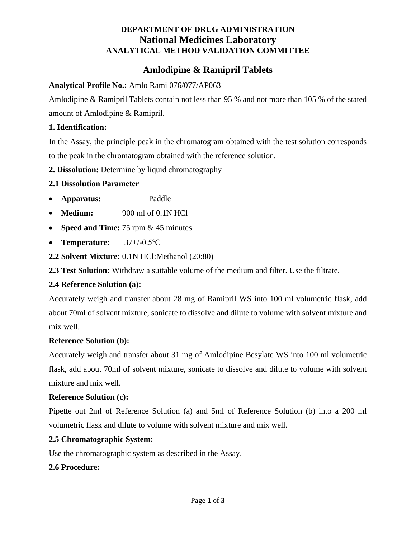## **DEPARTMENT OF DRUG ADMINISTRATION National Medicines Laboratory ANALYTICAL METHOD VALIDATION COMMITTEE**

# **Amlodipine & Ramipril Tablets**

### **Analytical Profile No.:** Amlo Rami 076/077/AP063

Amlodipine & Ramipril Tablets contain not less than 95 % and not more than 105 % of the stated amount of Amlodipine & Ramipril.

#### **1. Identification:**

In the Assay, the principle peak in the chromatogram obtained with the test solution corresponds to the peak in the chromatogram obtained with the reference solution.

**2. Dissolution:** Determine by liquid chromatography

### **2.1 Dissolution Parameter**

- **Apparatus:** Paddle
- **Medium:** 900 ml of 0.1N HCl
- **Speed and Time:** 75 rpm & 45 minutes
- **Temperature:** 37+/-0.5℃
- **2.2 Solvent Mixture:** 0.1N HCl:Methanol (20:80)

**2.3 Test Solution:** Withdraw a suitable volume of the medium and filter. Use the filtrate.

### **2.4 Reference Solution (a):**

Accurately weigh and transfer about 28 mg of Ramipril WS into 100 ml volumetric flask, add about 70ml of solvent mixture, sonicate to dissolve and dilute to volume with solvent mixture and mix well.

### **Reference Solution (b):**

Accurately weigh and transfer about 31 mg of Amlodipine Besylate WS into 100 ml volumetric flask, add about 70ml of solvent mixture, sonicate to dissolve and dilute to volume with solvent mixture and mix well.

### **Reference Solution (c):**

Pipette out 2ml of Reference Solution (a) and 5ml of Reference Solution (b) into a 200 ml volumetric flask and dilute to volume with solvent mixture and mix well.

### **2.5 Chromatographic System:**

Use the chromatographic system as described in the Assay.

### **2.6 Procedure:**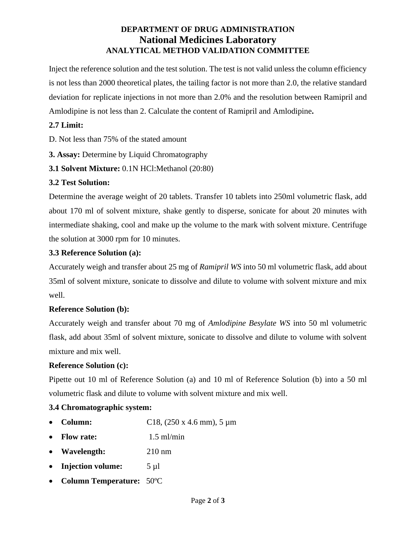# **DEPARTMENT OF DRUG ADMINISTRATION National Medicines Laboratory ANALYTICAL METHOD VALIDATION COMMITTEE**

Inject the reference solution and the test solution. The test is not valid unless the column efficiency is not less than 2000 theoretical plates, the tailing factor is not more than 2.0, the relative standard deviation for replicate injections in not more than 2.0% and the resolution between Ramipril and Amlodipine is not less than 2. Calculate the content of Ramipril and Amlodipine**.**

## **2.7 Limit:**

D. Not less than 75% of the stated amount

- **3. Assay:** Determine by Liquid Chromatography
- **3.1 Solvent Mixture:** 0.1N HCl:Methanol (20:80)

# **3.2 Test Solution:**

Determine the average weight of 20 tablets. Transfer 10 tablets into 250ml volumetric flask, add about 170 ml of solvent mixture, shake gently to disperse, sonicate for about 20 minutes with intermediate shaking, cool and make up the volume to the mark with solvent mixture. Centrifuge the solution at 3000 rpm for 10 minutes.

# **3.3 Reference Solution (a):**

Accurately weigh and transfer about 25 mg of *Ramipril WS* into 50 ml volumetric flask, add about 35ml of solvent mixture, sonicate to dissolve and dilute to volume with solvent mixture and mix well.

## **Reference Solution (b):**

Accurately weigh and transfer about 70 mg of *Amlodipine Besylate WS* into 50 ml volumetric flask, add about 35ml of solvent mixture, sonicate to dissolve and dilute to volume with solvent mixture and mix well.

## **Reference Solution (c):**

Pipette out 10 ml of Reference Solution (a) and 10 ml of Reference Solution (b) into a 50 ml volumetric flask and dilute to volume with solvent mixture and mix well.

## **3.4 Chromatographic system:**

- **Column:** C18, (250 x 4.6 mm), 5 μm
- **Flow rate:** 1.5 ml/min
- **Wavelength:** 210 nm
- **Injection volume:** 5 µl
- **Column Temperature:** 50ºC